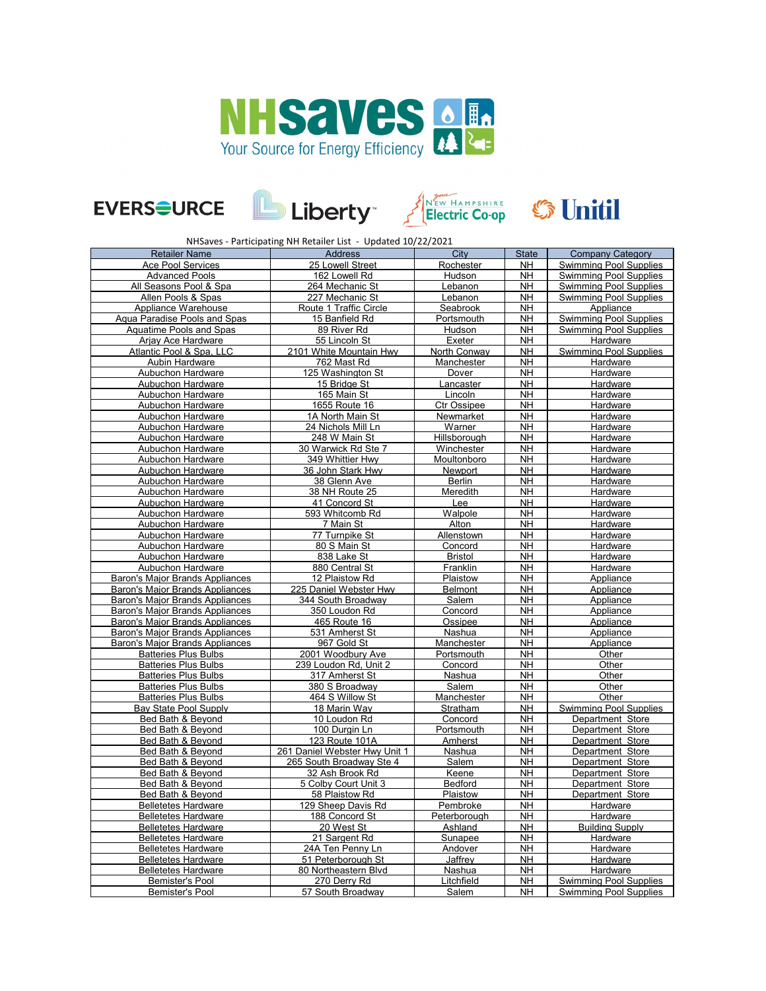







## Electric Co-op S Unitil

NHSaves - Participating NH Retailer List - Updated 10/22/2021

| <b>Retailer Name</b>                   | <b>Address</b>                | City            | <b>State</b> | <b>Company Category</b>       |
|----------------------------------------|-------------------------------|-----------------|--------------|-------------------------------|
| <b>Ace Pool Services</b>               | 25 Lowell Street              | Rochester       | <b>NH</b>    | <b>Swimming Pool Supplies</b> |
| <b>Advanced Pools</b>                  | 162 Lowell Rd                 | Hudson          | <b>NH</b>    | <b>Swimming Pool Supplies</b> |
| All Seasons Pool & Spa                 | 264 Mechanic St               | Lebanon         | <b>NH</b>    | <b>Swimming Pool Supplies</b> |
| Allen Pools & Spas                     | 227 Mechanic St               | Lebanon         | <b>NH</b>    | <b>Swimming Pool Supplies</b> |
| Appliance Warehouse                    | Route 1 Traffic Circle        | Seabrook        | <b>NH</b>    | Appliance                     |
| <b>Aqua Paradise Pools and Spas</b>    | 15 Banfield Rd                | Portsmouth      | <b>NH</b>    | <b>Swimming Pool Supplies</b> |
| Aquatime Pools and Spas                | 89 River Rd                   | Hudson          | <b>NH</b>    | <b>Swimming Pool Supplies</b> |
| Arjay Ace Hardware                     | 55 Lincoln St                 | Exeter          | <b>NH</b>    | Hardware                      |
| Atlantic Pool & Spa, LLC               | 2101 White Mountain Hwy       | North Conway    | <b>NH</b>    | <b>Swimming Pool Supplies</b> |
| <b>Aubin Hardware</b>                  | 762 Mast Rd                   | Manchester      | <b>NH</b>    | Hardware                      |
| <b>Aubuchon Hardware</b>               | 125 Washington St             | Dover           | <b>NH</b>    | Hardware                      |
| <b>Aubuchon Hardware</b>               | 15 Bridge St                  | Lancaster       | <b>NH</b>    | Hardware                      |
| Aubuchon Hardware                      | 165 Main St                   | Lincoln         | <b>NH</b>    | Hardware                      |
| Aubuchon Hardware                      | 1655 Route 16                 | Ctr Ossipee     | <b>NH</b>    | Hardware                      |
| Aubuchon Hardware                      | 1A North Main St              | Newmarket       | <b>NH</b>    | Hardware                      |
| Aubuchon Hardware                      | 24 Nichols Mill Ln            | Warner          | <b>NH</b>    | Hardware                      |
| Aubuchon Hardware                      | 248 W Main St                 | Hillsborough    | <b>NH</b>    | Hardware                      |
| Aubuchon Hardware                      | 30 Warwick Rd Ste 7           | Winchester      | <b>NH</b>    | Hardware                      |
| Aubuchon Hardware                      | 349 Whittier Hwy              | Moultonboro     | <b>NH</b>    | Hardware                      |
| Aubuchon Hardware                      | 36 John Stark Hwy             | Newport         | <b>NH</b>    | Hardware                      |
|                                        | 38 Glenn Ave                  |                 | <b>NH</b>    |                               |
| Aubuchon Hardware<br>Aubuchon Hardware | 38 NH Route 25                | Berlin          | <b>NH</b>    | Hardware                      |
|                                        |                               | Meredith        |              | Hardware                      |
| Aubuchon Hardware                      | 41 Concord St                 | Lee             | <b>NH</b>    | Hardware                      |
| Aubuchon Hardware                      | 593 Whitcomb Rd               | Walpole         | <b>NH</b>    | Hardware                      |
| Aubuchon Hardware                      | 7 Main St                     | Alton           | <b>NH</b>    | Hardware                      |
| Aubuchon Hardware                      | 77 Turnpike St                | Allenstown      | <b>NH</b>    | Hardware                      |
| Aubuchon Hardware                      | 80 S Main St                  | Concord         | <b>NH</b>    | Hardware                      |
| Aubuchon Hardware                      | 838 Lake St                   | <b>Bristol</b>  | <b>NH</b>    | Hardware                      |
| Aubuchon Hardware                      | 880 Central St                | Franklin        | <b>NH</b>    | Hardware                      |
| <b>Baron's Major Brands Appliances</b> | 12 Plaistow Rd                | Plaistow        | <b>NH</b>    | Appliance                     |
| <b>Baron's Maior Brands Appliances</b> | 225 Daniel Webster Hwv        | <b>Belmont</b>  | <b>NH</b>    | Appliance                     |
| Baron's Major Brands Appliances        | 344 South Broadway            | Salem           | <b>NH</b>    | Appliance                     |
| Baron's Major Brands Appliances        | 350 Loudon Rd                 | Concord         | <b>NH</b>    | Appliance                     |
| Baron's Major Brands Appliances        | 465 Route 16                  | Ossipee         | <b>NH</b>    | Appliance                     |
| Baron's Major Brands Appliances        | 531 Amherst St                | Nashua          | <b>NH</b>    | Appliance                     |
| <b>Baron's Major Brands Appliances</b> | 967 Gold St                   | Manchester      | <b>NH</b>    | Appliance                     |
| <b>Batteries Plus Bulbs</b>            | 2001 Woodbury Ave             | Portsmouth      | <b>NH</b>    | Other                         |
| <b>Batteries Plus Bulbs</b>            | 239 Loudon Rd, Unit 2         | Concord         | <b>NH</b>    | Other                         |
| <b>Batteries Plus Bulbs</b>            | 317 Amherst St                | Nashua          | <b>NH</b>    | Other                         |
| <b>Batteries Plus Bulbs</b>            | 380 S Broadway                | Salem           | <b>NH</b>    | Other                         |
| <b>Batteries Plus Bulbs</b>            | 464 S Willow St               | Manchester      | <b>NH</b>    | Other                         |
| Bay State Pool Supply                  | 18 Marin Way                  | <b>Stratham</b> | <b>NH</b>    | <b>Swimming Pool Supplies</b> |
| Bed Bath & Beyond                      | 10 Loudon Rd                  | Concord         | <b>NH</b>    | Department Store              |
| Bed Bath & Beyond                      | 100 Durgin Ln                 | Portsmouth      | <b>NH</b>    | Department Store              |
| Bed Bath & Beyond                      | 123 Route 101A                | Amherst         | <b>NH</b>    | Department Store              |
| Bed Bath & Beyond                      | 261 Daniel Webster Hwy Unit 1 | Nashua          | <b>NH</b>    | Department Store              |
| Bed Bath & Beyond                      | 265 South Broadway Ste 4      | Salem           | <b>NH</b>    | Department Store              |
| Bed Bath & Beyond                      | 32 Ash Brook Rd               | Keene           | <b>NH</b>    | Department Store              |
| Bed Bath & Bevond                      | 5 Colby Court Unit 3          | Bedford         | <b>NH</b>    | Department Store              |
| <b>Bed Bath &amp; Beyond</b>           | 58 Plaistow Rd                | Plaistow        | <b>NH</b>    | Department Store              |
| <b>Belletetes Hardware</b>             | 129 Sheep Davis Rd            | Pembroke        | <b>NH</b>    | Hardware                      |
| <b>Belletetes Hardware</b>             | 188 Concord St                | Peterborough    | <b>NH</b>    | Hardware                      |
| <b>Belletetes Hardware</b>             | 20 West St                    | Ashland         | <b>NH</b>    | <b>Building Supply</b>        |
| <b>Belletetes Hardware</b>             | 21 Sargent Rd                 | Sunapee         | <b>NH</b>    | Hardware                      |
| <b>Belletetes Hardware</b>             | 24A Ten Penny Ln              | Andover         | <b>NH</b>    | Hardware                      |
| <b>Belletetes Hardware</b>             | 51 Peterborough St            | Jaffrey         | <b>NH</b>    | Hardware                      |
| <b>Belletetes Hardware</b>             | 80 Northeastern Blvd          | Nashua          | <b>NH</b>    | Hardware                      |
| Bemister's Pool                        | 270 Derry Rd                  | Litchfield      | <b>NH</b>    | <b>Swimming Pool Supplies</b> |
| Bemister's Pool                        | 57 South Broadway             | Salem           | <b>NH</b>    | <b>Swimming Pool Supplies</b> |
|                                        |                               |                 |              |                               |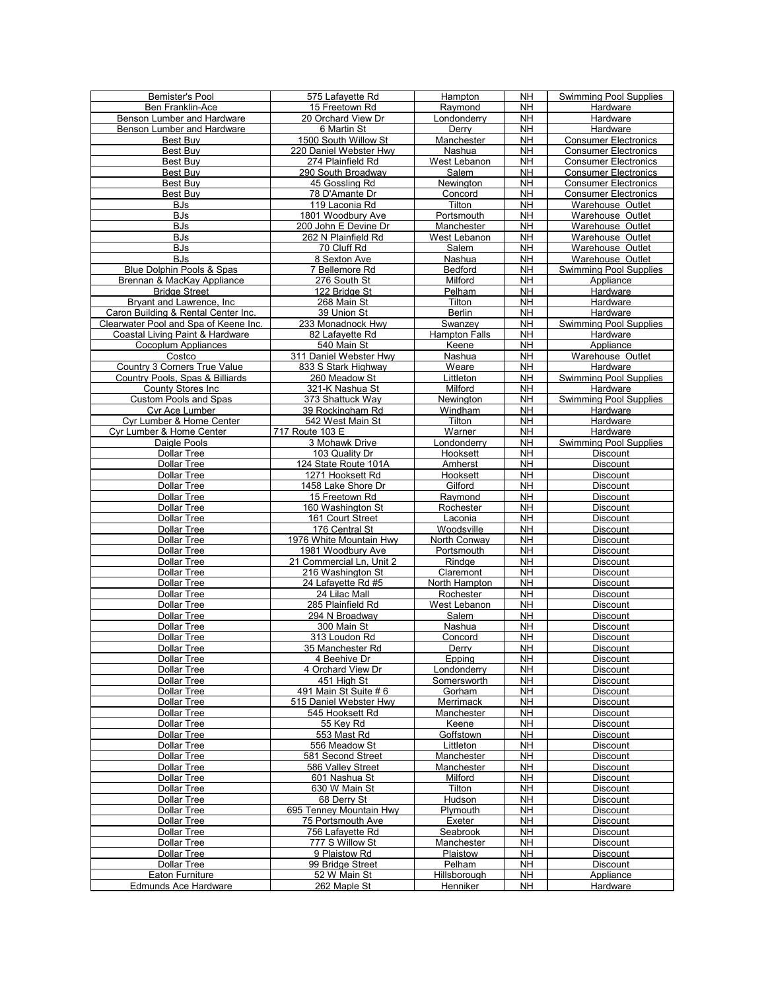| Bemister's Pool                       | 575 Lafavette Rd                 | Hampton                    | <b>NH</b>              | <b>Swimming Pool Supplies</b>      |
|---------------------------------------|----------------------------------|----------------------------|------------------------|------------------------------------|
| Ben Franklin-Ace                      | 15 Freetown Rd                   | Raymond                    | NΗ                     | Hardware                           |
| Benson Lumber and Hardware            | 20 Orchard View Dr               | _ondonderry                | <b>NH</b>              | Hardware                           |
| Benson Lumber and Hardware            | 6 Martin St                      | Derry                      | <b>NH</b>              | Hardware                           |
| Best Buy                              | 1500 South Willow St             | Manchester                 | <b>NH</b>              | <b>Consumer Electronics</b>        |
| Best Buy                              | 220 Daniel Webster Hwy           | Nashua                     | <b>NH</b>              | <b>Consumer Electronics</b>        |
| Best Buv                              | 274 Plainfield Rd                | West Lebanon               | <b>NH</b>              | <b>Consumer Electronics</b>        |
| <b>Best Buv</b>                       | 290 South Broadway               | Salem                      | <b>NH</b>              | <b>Consumer Electronics</b>        |
| Best Buy                              | 45 Gossling Rd                   | Newington                  | <b>NH</b>              | <b>Consumer Electronics</b>        |
| Best Buy                              | 78 D'Amante Dr                   | Concord                    | NΗ                     | <b>Consumer Electronics</b>        |
|                                       |                                  | Tilton                     | <b>NH</b>              |                                    |
| BJs                                   | 119 Laconia Rd                   |                            |                        | Warehouse Outlet                   |
| BJs                                   | 1801 Woodbury Ave                | Portsmouth                 | <b>NH</b>              | Warehouse Outlet                   |
| <b>BJs</b>                            | 200 John E Devine Dr             | Manchester                 | <b>NH</b>              | Warehouse Outlet                   |
| <b>BJs</b>                            | 262 N Plainfield Rd              | West Lebanon               | <b>NH</b>              | Warehouse Outlet                   |
| BJs                                   | 70 Cluff Rd                      | Salem                      | <b>NH</b>              | Warehouse Outlet                   |
| <b>BJs</b>                            | 8 Sexton Ave                     | Nashua                     | <b>NH</b>              | Warehouse Outlet                   |
| <b>Blue Dolphin Pools &amp; Spas</b>  | 7 Bellemore Rd                   | Bedford                    | <b>NH</b>              | <b>Swimming Pool Supplies</b>      |
| Brennan & MacKay Appliance            | 276 South St                     | Milford                    | <b>NH</b>              | Appliance                          |
| <b>Bridge Street</b>                  | 122 Bridge St                    | Pelham                     | <b>NH</b>              | Hardware                           |
| Bryant and Lawrence, Inc.             | 268 Main St                      | Tilton                     | <b>NH</b>              | Hardware                           |
| Caron Building & Rental Center Inc.   | 39 Union St                      | <b>Berlin</b>              | <b>NH</b>              | Hardware                           |
| Clearwater Pool and Spa of Keene Inc. | 233 Monadnock Hwy                | Swanzey                    | <b>NH</b>              | <b>Swimming Pool Supplies</b>      |
| Coastal Living Paint & Hardware       | 82 Lafayette Rd                  | <b>Hampton Falls</b>       | <b>NH</b>              | Hardware                           |
| Cocoplum Appliances                   | 540 Main St                      | Keene                      | <b>NH</b>              | Appliance                          |
| Costco                                | 311 Daniel Webster Hwy           | Nashua                     | <b>NH</b>              | Warehouse Outlet                   |
| Country 3 Corners True Value          | 833 S Stark Highway              | Weare                      | <b>NH</b>              | Hardware                           |
| Country Pools, Spas & Billiards       | 260 Meadow St                    | Littleton                  | NΗ                     | <b>Swimming Pool Supplies</b>      |
| County Stores Inc                     | 321-K Nashua St                  | Milford                    | <b>NH</b>              | Hardware                           |
| <b>Custom Pools and Spas</b>          | 373 Shattuck Way                 | Newington                  | <b>NH</b>              | <b>Swimming Pool Supplies</b>      |
| Cyr Ace Lumber                        | 39 Rockingham Rd                 | Windham                    | <b>NH</b>              | Hardware                           |
|                                       |                                  |                            | <b>NH</b>              |                                    |
| Cyr Lumber & Home Center              | 542 West Main St                 | Tilton                     |                        | Hardware                           |
| Cyr Lumber & Home Center              | 717 Route 103 E                  | Warner                     | <b>NH</b>              | Hardware                           |
| Daigle Pools                          | 3 Mohawk Drive                   | Londonderry                | <b>NH</b>              | Swimming Pool Supplies             |
| Dollar Tree                           | 103 Quality Dr                   | Hooksett                   | <b>NH</b>              | <b>Discount</b>                    |
| Dollar Tree                           | 124 State Route 101A             | Amherst                    | <b>NH</b>              | Discount                           |
| <b>Dollar Tree</b>                    | 1271 Hooksett Rd                 | Hooksett                   | <b>NH</b>              | Discount                           |
| Dollar Tree                           | 1458 Lake Shore Dr               | Gilford                    | <b>NH</b>              | <b>Discount</b>                    |
| Dollar Tree                           | 15 Freetown Rd                   | Raymond                    | <b>NH</b>              | <b>Discount</b>                    |
| <b>Dollar Tree</b>                    | 160 Washington St                | Rochester                  | <b>NH</b>              | Discount                           |
| Dollar Tree                           | 161 Court Street                 | Laconia                    | <b>NH</b>              | Discount                           |
| <b>Dollar Tree</b>                    | 176 Central St                   | Woodsville                 | <b>NH</b>              | <b>Discount</b>                    |
| <b>Dollar Tree</b>                    | 1976 White Mountain Hwy          | North Conway               | <b>NH</b>              | Discount                           |
| Dollar Tree                           | 1981 Woodbury Ave                | Portsmouth                 | <b>NH</b>              | Discount                           |
| Dollar Tree                           | 21 Commercial Ln, Unit 2         | Rindge                     | <b>NH</b>              | Discount                           |
| <b>Dollar Tree</b>                    | 216 Washington St                | Claremont                  | <b>NH</b>              | Discount                           |
| Dollar Tree                           | 24 Lafayette Rd #5               | North Hampton              | <b>NH</b>              | <b>Discount</b>                    |
| <b>Dollar Tree</b>                    | 24 Lilac Mall                    | Rochester                  | <b>NH</b>              | <b>Discount</b>                    |
| Dollar Tree                           | 285 Plainfield Rd                | West Lebanon               | <b>NH</b>              | <b>Discount</b>                    |
| Dollar Tree                           | 294 N Broadway                   | Salem                      | <b>NH</b>              | <b>Discount</b>                    |
| <b>Dollar Tree</b>                    | 300 Main St                      | Nashua                     | <b>NH</b>              | Discount                           |
| <b>Dollar Tree</b>                    | 313 Loudon Rd                    | Concord                    | <b>NH</b>              | Discount                           |
| Dollar Tree                           | 35 Manchester Rd                 | Derry                      | <b>NH</b>              | <b>Discount</b>                    |
|                                       |                                  |                            |                        |                                    |
| <b>Dollar Tree</b>                    | 4 Beehive Dr                     | Epping                     | <b>NH</b>              | Discount                           |
| Dollar Tree                           | 4 Orchard View Dr<br>451 High St | Londonderry<br>Somersworth | <b>NH</b><br><b>NH</b> | <b>Discount</b><br><b>Discount</b> |
| Dollar Tree                           |                                  |                            |                        |                                    |
| Dollar Tree                           | 491 Main St Suite # 6            | Gorham                     | <b>NH</b>              | Discount                           |
| Dollar Tree                           | 515 Daniel Webster Hwy           | Merrimack                  | <b>NH</b>              | Discount                           |
| Dollar Tree                           | 545 Hooksett Rd                  | Manchester                 | <b>NH</b>              | Discount                           |
| Dollar Tree                           | 55 Key Rd                        | Keene                      | <b>NH</b>              | Discount                           |
| Dollar Tree                           | 553 Mast Rd                      | Goffstown                  | <b>NH</b>              | Discount                           |
| <b>Dollar Tree</b>                    | 556 Meadow St                    | Littleton                  | <b>NH</b>              | Discount                           |
| Dollar Tree                           | 581 Second Street                | Manchester                 | <b>NH</b>              | Discount                           |
| Dollar Tree                           | 586 Valley Street                | Manchester                 | <b>NH</b>              | Discount                           |
| Dollar Tree                           | 601 Nashua St                    | Milford                    | <b>NH</b>              | <b>Discount</b>                    |
| Dollar Tree                           | 630 W Main St                    | Tilton                     | <b>NH</b>              | Discount                           |
| Dollar Tree                           | 68 Derry St                      | Hudson                     | <b>NH</b>              | Discount                           |
| Dollar Tree                           | 695 Tenney Mountain Hwy          | Plymouth                   | <b>NH</b>              | Discount                           |
| Dollar Tree                           | 75 Portsmouth Ave                | Exeter                     | <b>NH</b>              | Discount                           |
| Dollar Tree                           | 756 Lafayette Rd                 | Seabrook                   | NΗ                     | Discount                           |
| Dollar Tree                           | 777 S Willow St                  | Manchester                 | <b>NH</b>              | Discount                           |
| Dollar Tree                           | 9 Plaistow Rd                    | Plaistow                   | <b>NH</b>              | Discount                           |
| Dollar Tree                           | 99 Bridge Street                 | Pelham                     | <b>NH</b>              | <b>Discount</b>                    |
| Eaton Furniture                       | 52 W Main St                     | Hillsborough               | <b>NH</b>              | Appliance                          |
|                                       |                                  |                            |                        |                                    |
| <b>Edmunds Ace Hardware</b>           | 262 Maple St                     | Henniker                   | NΗ                     | Hardware                           |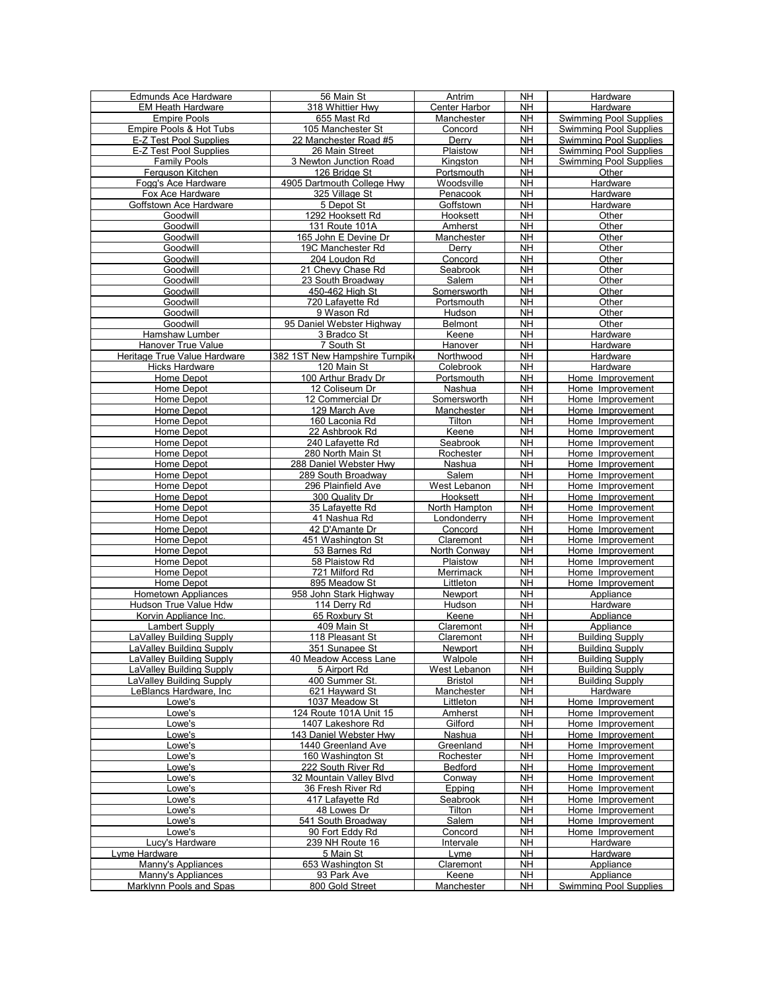| Edmunds Ace Hardware         | 56 Main St                    | Antrim         | <b>NH</b> | Hardware                      |
|------------------------------|-------------------------------|----------------|-----------|-------------------------------|
| <b>EM Heath Hardware</b>     | 318 Whittier Hwy              | Center Harbor  | <b>NH</b> | Hardware                      |
| <b>Empire Pools</b>          | 655 Mast Rd                   | Manchester     | <b>NH</b> | <b>Swimming Pool Supplies</b> |
| Empire Pools & Hot Tubs      | 105 Manchester St             | Concord        | NΗ        | <b>Swimming Pool Supplies</b> |
|                              |                               |                |           |                               |
| E-Z Test Pool Supplies       | 22 Manchester Road #5         | Derry          | NΗ        | <b>Swimming Pool Supplies</b> |
| E-Z Test Pool Supplies       | 26 Main Street                | Plaistow       | NΗ        | <b>Swimming Pool Supplies</b> |
| <b>Family Pools</b>          | 3 Newton Junction Road        | Kingston       | <b>NH</b> | <b>Swimming Pool Supplies</b> |
| Ferguson Kitchen             | 126 Bridge St                 | Portsmouth     | NΗ        | Other                         |
| Fogg's Ace Hardware          | 4905 Dartmouth College Hwy    | Woodsville     | NH        | Hardware                      |
| Fox Ace Hardware             | 325 Village St                | Penacook       | <b>NH</b> | Hardware                      |
| Goffstown Ace Hardware       | 5 Depot St                    | Goffstown      | <b>NH</b> | Hardware                      |
| Goodwill                     | 1292 Hooksett Rd              | Hooksett       | NH        | Other                         |
| Goodwill                     | 131 Route 101A                | Amherst        | NΗ        | Other                         |
| Goodwill                     | 165 John E Devine Dr          | Manchester     | <b>NH</b> | Other                         |
| Goodwill                     | 19C Manchester Rd             | Derry          | NΗ        | Other                         |
| Goodwill                     | 204 Loudon Rd                 | Concord        | NΗ        | Other                         |
| Goodwill                     | 21 Chevy Chase Rd             | Seabrook       | NH        | Other                         |
|                              |                               |                |           |                               |
| Goodwill                     | 23 South Broadway             | Salem          | NH        | Other                         |
| Goodwill                     | 450-462 High St               | Somersworth    | <b>NH</b> | Other                         |
| Goodwill                     | 720 Lafayette Rd              | Portsmouth     | NΗ        | Other                         |
| Goodwill                     | 9 Wason Rd                    | Hudson         | <b>NH</b> | Other                         |
| Goodwill                     | 95 Daniel Webster Highway     | <b>Belmont</b> | <b>NH</b> | Other                         |
| Hamshaw Lumber               | 3 Bradco St                   | Keene          | <b>NH</b> | Hardware                      |
| <b>Hanover True Value</b>    | 7 South St                    | Hanover        | NΗ        | Hardware                      |
| Heritage True Value Hardware | 382 1ST New Hampshire Turnpik | Northwood      | NΗ        | Hardware                      |
| Hicks Hardware               | 120 Main St                   | Colebrook      | NH        | Hardware                      |
| Home Depot                   | 100 Arthur Brady Dr           | Portsmouth     | <b>NH</b> | Home Improvement              |
| Home Depot                   | 12 Coliseum Dr                | Nashua         | <b>NH</b> | Home Improvement              |
| Home Depot                   | 12 Commercial Dr              | Somersworth    | NΗ        | Home Improvement              |
| Home Depot                   | 129 March Ave                 | Manchester     | NΗ        | Home Improvement              |
| Home Depot                   | 160 Laconia Rd                | Tilton         | NΗ        | Home Improvement              |
| Home Depot                   | 22 Ashbrook Rd                | Keene          | <b>NH</b> | Home Improvement              |
| Home Depot                   | 240 Lafayette Rd              | Seabrook       | NΗ        | Home Improvement              |
|                              |                               |                |           |                               |
| Home Depot                   | 280 North Main St             | Rochester      | NΗ        | Home Improvement              |
| Home Depot                   | 288 Daniel Webster Hwy        | Nashua         | <b>NH</b> | Home Improvement              |
| Home Depot                   | 289 South Broadway            | Salem          | <b>NH</b> | Home Improvement              |
| Home Depot                   | 296 Plainfield Ave            | West Lebanon   | NΗ        | Home Improvement              |
| Home Depot                   | 300 Quality Dr                | Hooksett       | NΗ        | Home Improvement              |
| Home Depot                   | 35 Lafayette Rd               | North Hampton  | <b>NH</b> | Home Improvement              |
| Home Depot                   | 41 Nashua Rd                  | Londonderry    | NΗ        | Home Improvement              |
| Home Depot                   | 42 D'Amante Dr                | Concord        | NΗ        | Home Improvement              |
| Home Depot                   | 451 Washington St             | Claremont      | NΗ        | Home Improvement              |
| Home Depot                   | 53 Barnes Rd                  | North Conway   | NΗ        | Home Improvement              |
| Home Depot                   | 58 Plaistow Rd                | Plaistow       | <b>NH</b> | Home Improvement              |
| Home Depot                   | 721 Milford Rd                | Merrimack      | NΗ        | Home Improvement              |
| Home Depot                   | 895 Meadow St                 | Littleton      | NΗ        | Home Improvement              |
| <b>Hometown Appliances</b>   | 958 John Stark Highway        | Newport        | NΗ        | Appliance                     |
| Hudson True Value Hdw        | 114 Derry Rd                  | Hudson         | <b>NH</b> | Hardware                      |
| Korvin Appliance Inc.        | 65 Roxbury St                 | Keene          | NΗ        | Appliance                     |
| Lambert Supply               | 409 Main St                   | Claremont      | NΗ        | Appliance                     |
| LaValley Building Supply     | 118 Pleasant St               | Claremont      | NΗ        | <b>Building Supply</b>        |
| LaValley Building Supply     | 351 Sunapee St                | Newport        | <b>NH</b> | <b>Building Supply</b>        |
| LaVallev Building Supply     | 40 Meadow Access Lane         | Walpole        | <b>NH</b> | <b>Building Supply</b>        |
| LaValley Building Supply     | 5 Airport Rd                  | West Lebanon   | NΗ        | <b>Building Supply</b>        |
| LaValley Building Supply     | 400 Summer St.                | <b>Bristol</b> | <b>NH</b> | <b>Building Supply</b>        |
| LeBlancs Hardware, Inc       | 621 Hayward St                | Manchester     | <b>NH</b> | Hardware                      |
| Lowe's                       | 1037 Meadow St                | Littleton      | <b>NH</b> | Home Improvement              |
| Lowe's                       | 124 Route 101A Unit 15        | Amherst        | NΗ        | Home Improvement              |
| Lowe's                       | 1407 Lakeshore Rd             | Gilford        | <b>NH</b> | Home Improvement              |
| Lowe's                       | 143 Daniel Webster Hwy        | Nashua         | <b>NH</b> | Home Improvement              |
| Lowe's                       | 1440 Greenland Ave            | Greenland      | NH        | Home Improvement              |
| Lowe's                       | 160 Washington St             | Rochester      | <b>NH</b> | Home Improvement              |
| Lowe's                       | 222 South River Rd            | Bedford        | NΗ        | Home Improvement              |
| Lowe's                       | 32 Mountain Valley Blvd       | Conway         | <b>NH</b> | Home Improvement              |
| Lowe's                       | 36 Fresh River Rd             | Epping         | <b>NH</b> | Home Improvement              |
| Lowe's                       | 417 Lafayette Rd              | Seabrook       | <b>NH</b> | Home Improvement              |
| Lowe's                       | 48 Lowes Dr                   | Tilton         | <b>NH</b> | Home Improvement              |
| Lowe's                       | 541 South Broadway            | Salem          | <b>NH</b> | Home Improvement              |
| Lowe's                       | 90 Fort Eddy Rd               | Concord        | NH        | Home Improvement              |
| Lucy's Hardware              | 239 NH Route 16               | Intervale      | <b>NH</b> | Hardware                      |
| Lyme Hardware                | 5 Main St                     | Lyme           | NH        | Hardware                      |
| Manny's Appliances           | 653 Washington St             | Claremont      | <b>NH</b> | Appliance                     |
| Manny's Appliances           | 93 Park Ave                   | Keene          | NH        | Appliance                     |
| Marklynn Pools and Spas      | 800 Gold Street               | Manchester     | NΗ        | <b>Swimming Pool Supplies</b> |
|                              |                               |                |           |                               |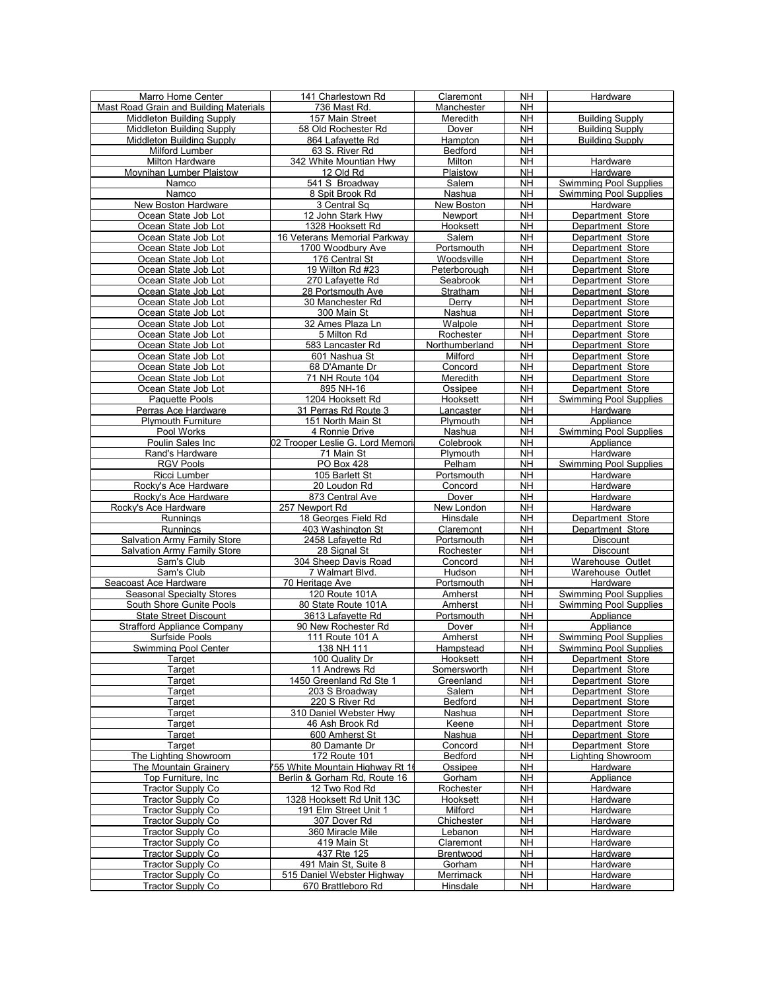| Marro Home Center                      | 141 Charlestown Rd               | Claremont      | <b>NH</b> | Hardware                             |
|----------------------------------------|----------------------------------|----------------|-----------|--------------------------------------|
| Mast Road Grain and Building Materials | 736 Mast Rd.                     | Manchester     | <b>NH</b> |                                      |
| Middleton Building Supply              | 157 Main Street                  | Meredith       | <b>NH</b> | <b>Building Supply</b>               |
| <b>Middleton Building Supply</b>       | 58 Old Rochester Rd              | Dover          | <b>NH</b> | <b>Building Supply</b>               |
| Middleton Building Supply              | 864 Lafayette Rd                 | Hampton        | <b>NH</b> | <b>Building Supply</b>               |
| Milford Lumber                         | 63 S. River Rd                   | Bedford        | NΗ        |                                      |
| Milton Hardware                        | 342 White Mountian Hwy           | Milton         | <b>NH</b> | Hardware                             |
| Moynihan Lumber Plaistow               | 12 Old Rd                        | Plaistow       | <b>NH</b> | Hardware                             |
| Namco                                  | 541 S Broadwav                   | Salem          | <b>NH</b> | Swimming Pool Supplies               |
| Namco                                  | 8 Spit Brook Rd                  | Nashua         | <b>NH</b> | <b>Swimming Pool Supplies</b>        |
| New Boston Hardware                    | 3 Central Sq                     | New Boston     | <b>NH</b> | Hardware                             |
| Ocean State Job Lot                    | 12 John Stark Hwy                | Newport        | <b>NH</b> | Department Store                     |
| Ocean State Job Lot                    | 1328 Hooksett Rd                 | Hooksett       | <b>NH</b> | Department Store                     |
| Ocean State Job Lot                    | 16 Veterans Memorial Parkway     | Salem          | <b>NH</b> | Department Store                     |
| Ocean State Job Lot                    | 1700 Woodbury Ave                | Portsmouth     | <b>NH</b> | Department Store                     |
| Ocean State Job Lot                    | 176 Central St                   | Woodsville     | <b>NH</b> | Department Store                     |
| Ocean State Job Lot                    | 19 Wilton Rd #23                 | Peterborough   | <b>NH</b> | Department Store                     |
| Ocean State Job Lot                    | 270 Lafayette Rd                 | Seabrook       | <b>NH</b> | Department Store                     |
| Ocean State Job Lot                    | 28 Portsmouth Ave                | Stratham       | <b>NH</b> | Department Store                     |
| Ocean State Job Lot                    | 30 Manchester Rd                 | Derry          | <b>NH</b> | Department Store                     |
| Ocean State Job Lot                    | 300 Main St                      | Nashua         | <b>NH</b> | Department Store                     |
| Ocean State Job Lot                    | 32 Ames Plaza Ln                 | Walpole        | NΗ        | Department Store                     |
| Ocean State Job Lot                    | 5 Milton Rd                      | Rochester      | <b>NH</b> | Department Store                     |
| Ocean State Job Lot                    | 583 Lancaster Rd                 | Northumberland | <b>NH</b> | Department Store                     |
| Ocean State Job Lot                    | 601 Nashua St                    | Milford        | <b>NH</b> | Department Store                     |
| Ocean State Job Lot                    | 68 D'Amante Dr                   | Concord        | <b>NH</b> |                                      |
| Ocean State Job Lot                    | 71 NH Route 104                  | Meredith       | <b>NH</b> | Department Store<br>Department Store |
| Ocean State Job Lot                    |                                  |                |           | Department Store                     |
|                                        | 895 NH-16                        | Ossipee        | <b>NH</b> |                                      |
| Paquette Pools                         | 1204 Hooksett Rd                 | Hooksett       | <b>NH</b> | <b>Swimming Pool Supplies</b>        |
| Perras Ace Hardware                    | 31 Perras Rd Route 3             | Lancaster      | <b>NH</b> | Hardware                             |
| <b>Plymouth Furniture</b>              | 151 North Main St                | Plymouth       | NΗ        | Appliance                            |
| Pool Works                             | 4 Ronnie Drive                   | Nashua         | <b>NH</b> | <b>Swimming Pool Supplies</b>        |
| Poulin Sales Inc.                      | 02 Trooper Leslie G. Lord Memori | Colebrook      | <b>NH</b> | Appliance                            |
| Rand's Hardware                        | 71 Main St                       | Plymouth       | <b>NH</b> | Hardware                             |
| <b>RGV Pools</b>                       | PO Box 428                       | Pelham         | <b>NH</b> | <b>Swimming Pool Supplies</b>        |
| Ricci Lumber                           | 105 Barlett St                   | Portsmouth     | <b>NH</b> | Hardware                             |
| Rocky's Ace Hardware                   | 20 Loudon Rd                     | Concord        | <b>NH</b> | Hardware                             |
| Rocky's Ace Hardware                   | 873 Central Ave                  | Dover          | <b>NH</b> | Hardware                             |
| Rocky's Ace Hardware                   | 257 Newport Rd                   | New London     | <b>NH</b> | Hardware                             |
| Runnings                               | 18 Georges Field Rd              | Hinsdale       | <b>NH</b> | Department Store                     |
| Runnings                               | 403 Washington St                | Claremont      | <b>NH</b> | Department Store                     |
| <b>Salvation Army Family Store</b>     | 2458 Lafayette Rd                | Portsmouth     | <b>NH</b> | <b>Discount</b>                      |
| <b>Salvation Army Family Store</b>     | 28 Signal St                     | Rochester      | <b>NH</b> | Discount                             |
| Sam's Club                             | 304 Sheep Davis Road             | Concord        | <b>NH</b> | Warehouse Outlet                     |
| Sam's Club                             | 7 Walmart Blvd.                  | Hudson         | <b>NH</b> | Warehouse Outlet                     |
| Seacoast Ace Hardware                  | 70 Heritage Ave                  | Portsmouth     | <b>NH</b> | Hardware                             |
| <b>Seasonal Specialty Stores</b>       | 120 Route 101A                   | Amherst        | <b>NH</b> | <b>Swimming Pool Supplies</b>        |
| South Shore Gunite Pools               | 80 State Route 101A              | Amherst        | NΗ        | <b>Swimming Pool Supplies</b>        |
| <b>State Street Discount</b>           | 3613 Lafayette Rd                | Portsmouth     | <b>NH</b> | Appliance                            |
| <b>Strafford Appliance Company</b>     | 90 New Rochester Rd              | Dover          | <b>NH</b> | Appliance                            |
| Surfside Pools                         | 111 Route 101 A                  | Amherst        | <b>NH</b> | <b>Swimming Pool Supplies</b>        |
| <b>Swimming Pool Center</b>            | 138 NH 111                       | Hampstead      | <b>NH</b> | <b>Swimming Pool Supplies</b>        |
| Target                                 | 100 Quality Dr                   | Hooksett       | <b>NH</b> | Department Store                     |
| Target                                 | 11 Andrews Rd                    | Somersworth    | <b>NH</b> | Department Store                     |
| Target                                 | 1450 Greenland Rd Ste 1          | Greenland      | <b>NH</b> | Department Store                     |
| Target                                 | 203 S Broadway                   | Salem          | NΗ        | Department Store                     |
| Target                                 | 220 S River Rd                   | Bedford        | <b>NH</b> | Department Store                     |
| Target                                 | 310 Daniel Webster Hwy           | Nashua         | <b>NH</b> | Department Store                     |
| Target                                 | 46 Ash Brook Rd                  | Keene          | <b>NH</b> | Department Store                     |
| Target                                 | 600 Amherst St                   | Nashua         | <b>NH</b> | Department Store                     |
| Target                                 | 80 Damante Dr                    | Concord        | <b>NH</b> | Department Store                     |
| The Lighting Showroom                  | 172 Route 101                    | Bedford        | <b>NH</b> | Lighting Showroom                    |
| The Mountain Grainery                  | 755 White Mountain Highway Rt 16 | Ossipee        | <b>NH</b> | Hardware                             |
| Top Furniture, Inc.                    | Berlin & Gorham Rd, Route 16     | Gorham         | <b>NH</b> | Appliance                            |
| <b>Tractor Supply Co</b>               | 12 Two Rod Rd                    | Rochester      | NΗ        | Hardware                             |
| Tractor Supply Co                      | 1328 Hooksett Rd Unit 13C        | Hooksett       | <b>NH</b> | Hardware                             |
| Tractor Supply Co                      | 191 Elm Street Unit 1            | Milford        | <b>NH</b> | Hardware                             |
| <b>Tractor Supply Co</b>               | 307 Dover Rd                     | Chichester     | <b>NH</b> | Hardware                             |
| <b>Tractor Supply Co</b>               | 360 Miracle Mile                 | Lebanon        | <b>NH</b> | Hardware                             |
| Tractor Supply Co                      | 419 Main St                      | Claremont      | NΗ        | Hardware                             |
| <b>Tractor Supply Co</b>               | 437 Rte 125                      | Brentwood      | <b>NH</b> | Hardware                             |
| Tractor Supply Co                      | 491 Main St, Suite 8             | Gorham         | <b>NH</b> | Hardware                             |
| Tractor Supply Co                      | 515 Daniel Webster Highway       | Merrimack      | NΗ        | Hardware                             |
| Tractor Supply Co                      | 670 Brattleboro Rd               | Hinsdale       | NΗ        | Hardware                             |